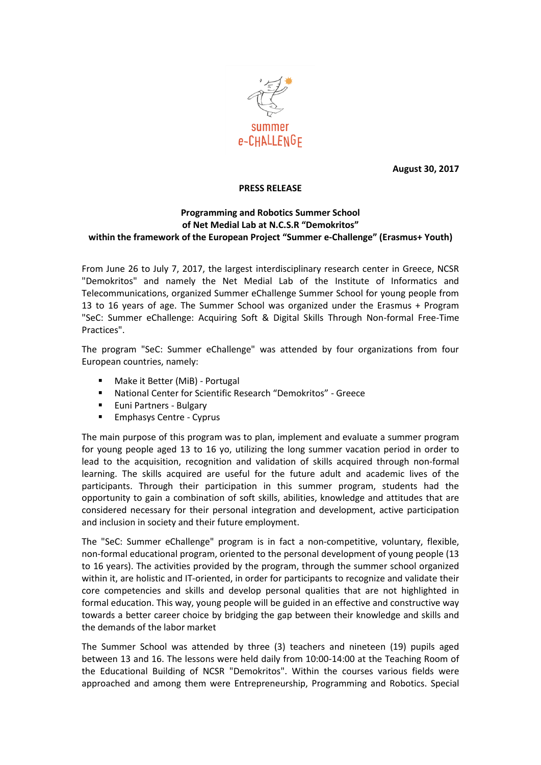

**August 30, 2017**

## **PRESS RELEASE**

## **Programming and Robotics Summer School of Net Medial Lab at N.C.S.R "Demokritos" within the framework of the European Project "Summer e-Challenge" (Erasmus+ Youth)**

From June 26 to July 7, 2017, the largest interdisciplinary research center in Greece, NCSR "Demokritos" and namely the Net Medial Lab of the Institute of Informatics and Telecommunications, organized Summer eChallenge Summer School for young people from 13 to 16 years of age. The Summer School was organized under the Erasmus + Program "SeC: Summer eChallenge: Acquiring Soft & Digital Skills Through Non-formal Free-Time Practices".

The program "SeC: Summer eChallenge" was attended by four organizations from four European countries, namely:

- Make it Better (MiB) Portugal
- National Center for Scientific Research "Demokritos" Greece
- **Euni Partners Bulgary**
- **Emphasys Centre Cyprus**

The main purpose of this program was to plan, implement and evaluate a summer program for young people aged 13 to 16 yo, utilizing the long summer vacation period in order to lead to the acquisition, recognition and validation of skills acquired through non-formal learning. The skills acquired are useful for the future adult and academic lives of the participants. Through their participation in this summer program, students had the opportunity to gain a combination of soft skills, abilities, knowledge and attitudes that are considered necessary for their personal integration and development, active participation and inclusion in society and their future employment.

The "SeC: Summer eChallenge" program is in fact a non-competitive, voluntary, flexible, non-formal educational program, oriented to the personal development of young people (13 to 16 years). The activities provided by the program, through the summer school organized within it, are holistic and IT-oriented, in order for participants to recognize and validate their core competencies and skills and develop personal qualities that are not highlighted in formal education. This way, young people will be guided in an effective and constructive way towards a better career choice by bridging the gap between their knowledge and skills and the demands of the labor market

The Summer School was attended by three (3) teachers and nineteen (19) pupils aged between 13 and 16. The lessons were held daily from 10:00-14:00 at the Teaching Room of the Educational Building of NCSR "Demokritos". Within the courses various fields were approached and among them were Entrepreneurship, Programming and Robotics. Special